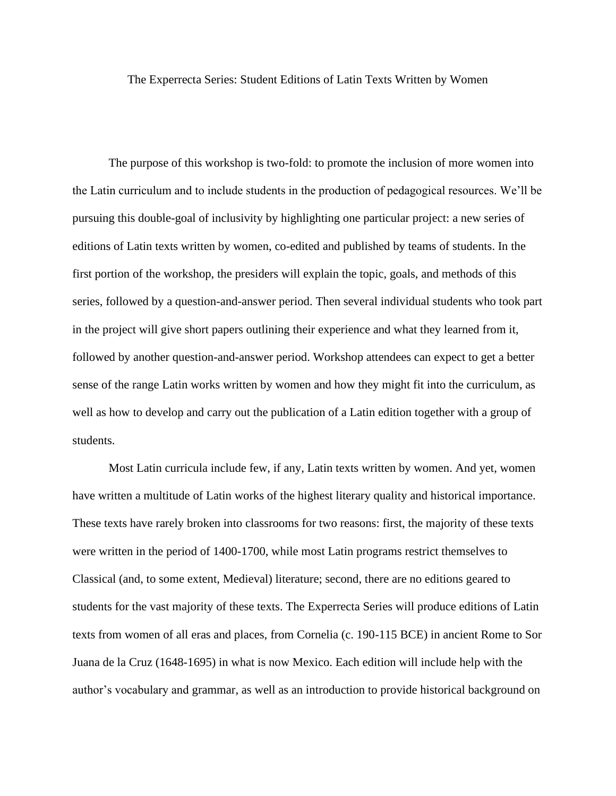The Experrecta Series: Student Editions of Latin Texts Written by Women

The purpose of this workshop is two-fold: to promote the inclusion of more women into the Latin curriculum and to include students in the production of pedagogical resources. We'll be pursuing this double-goal of inclusivity by highlighting one particular project: a new series of editions of Latin texts written by women, co-edited and published by teams of students. In the first portion of the workshop, the presiders will explain the topic, goals, and methods of this series, followed by a question-and-answer period. Then several individual students who took part in the project will give short papers outlining their experience and what they learned from it, followed by another question-and-answer period. Workshop attendees can expect to get a better sense of the range Latin works written by women and how they might fit into the curriculum, as well as how to develop and carry out the publication of a Latin edition together with a group of students.

Most Latin curricula include few, if any, Latin texts written by women. And yet, women have written a multitude of Latin works of the highest literary quality and historical importance. These texts have rarely broken into classrooms for two reasons: first, the majority of these texts were written in the period of 1400-1700, while most Latin programs restrict themselves to Classical (and, to some extent, Medieval) literature; second, there are no editions geared to students for the vast majority of these texts. The Experrecta Series will produce editions of Latin texts from women of all eras and places, from Cornelia (c. 190-115 BCE) in ancient Rome to Sor Juana de la Cruz (1648-1695) in what is now Mexico. Each edition will include help with the author's vocabulary and grammar, as well as an introduction to provide historical background on